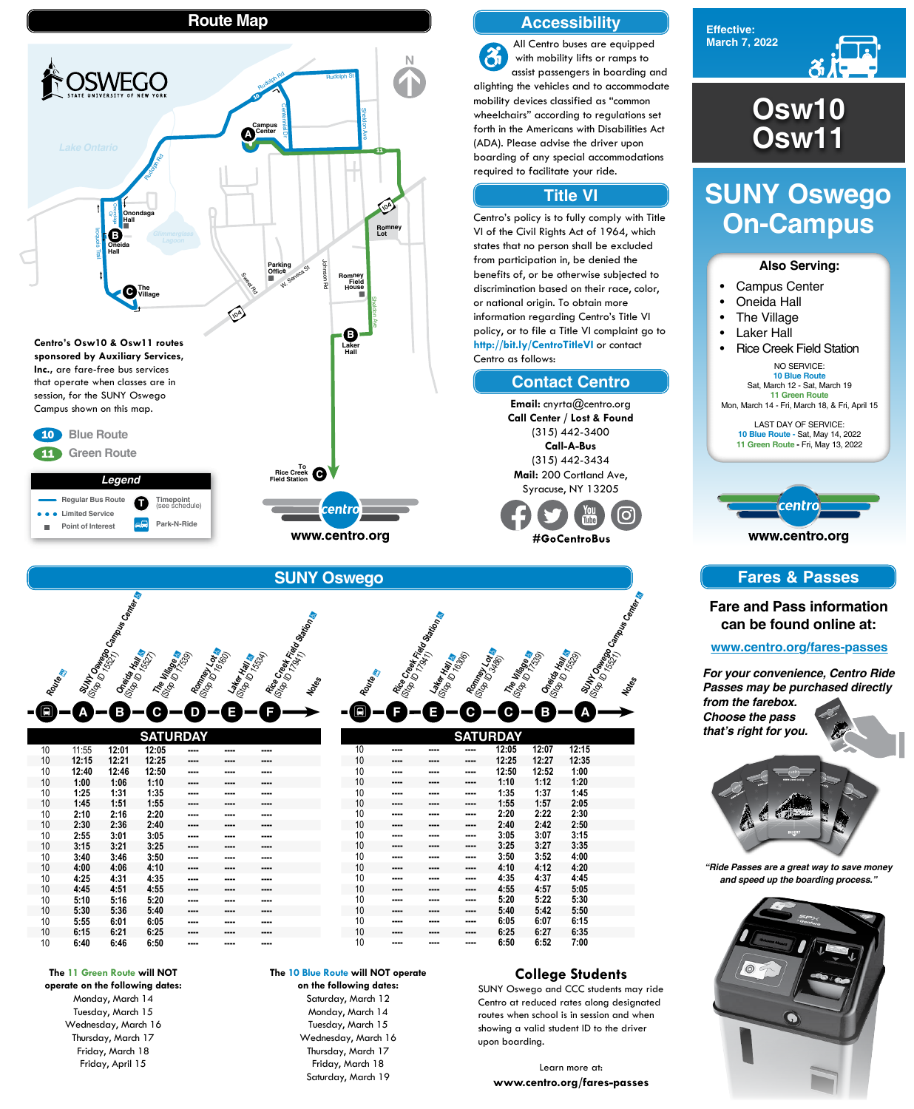



# **SUNY Oswego On-Campus**

#### **College Students**

SUNY Oswego and CCC students may ride Centro at reduced rates along designated routes when school is in session and when showing a valid student ID to the driver upon boarding.

Learn more at: **www.centro.org/fares-passes**

#### **Also Serving:**

- Campus Center
- Oneida Hall
- The Village
- Laker Hall
- Rice Creek Field Station

NO SERVICE: **10 Blue Route** Sat, March 12 - Sat, March 19 **11 Green Route** Mon, March 14 - Fri, March 18, & Fri, April 15

LAST DAY OF SERVICE: **10 Blue Route -** Sat, May 14, 2022 **11 Green Route -** Fri, May 13, 2022



**Osw10 Osw11**

# **Route Map**







|    |       |       | <b>SATURDAY</b> |      |      |      |  |
|----|-------|-------|-----------------|------|------|------|--|
| 10 | 11:55 | 12:01 | 12:05           | ---- | ---- | ---- |  |
| 10 | 12:15 | 12:21 | 12:25           | ---- | ---- | ---- |  |
| 10 | 12:40 | 12:46 | 12:50           | ---- | ---- | ---- |  |
| 10 | 1:00  | 1:06  | 1:10            | ---- | ---- | ---- |  |
| 10 | 1:25  | 1:31  | 1:35            |      | ---- | ---- |  |
| 10 | 1:45  | 1:51  | 1:55            | ---- | ---- | ---- |  |
| 10 | 2:10  | 2:16  | 2:20            | ---- | ---- | ---- |  |
| 10 | 2:30  | 2:36  | 2:40            | ---- | ---- | ---- |  |
| 10 | 2:55  | 3:01  | 3:05            | ---- | ---- | ---- |  |
| 10 | 3:15  | 3:21  | 3:25            | ---- | ---- | ---- |  |
| 10 | 3:40  | 3:46  | 3:50            | ---- | ---- | ---- |  |
| 10 | 4:00  | 4:06  | 4:10            | ---- | ---- | ---- |  |
| 10 | 4:25  | 4:31  | 4:35            | ---- | ---- | ---- |  |
| 10 | 4:45  | 4:51  | 4:55            | ---- | ---- | ---- |  |
| 10 | 5:10  | 5:16  | 5:20            | ---- | ---- | ---- |  |
| 10 | 5:30  | 5:36  | 5:40            | ---- | ---- | ---- |  |
| 10 | 5:55  | 6:01  | 6:05            | ---- | ---- | ---- |  |
| 10 | 6:15  | 6:21  | 6:25            | ---- | ---- | ---- |  |
| 10 | 6:40  | 6:46  | 6:50            | ---- | ---- | ---- |  |



| 10 | ---- | ---- | ---- | 2:20 | 2:22 | 2:30 |  |
|----|------|------|------|------|------|------|--|
| 10 | ---- | ---- | ---- | 2:40 | 2:42 | 2:50 |  |
| 10 | ---- | ---- | ---- | 3:05 | 3:07 | 3:15 |  |
| 10 | ---- | ---- | ---- | 3:25 | 3:27 | 3:35 |  |
| 10 | ---- | ---- | ---- | 3:50 | 3:52 | 4:00 |  |
| 10 | ---- | ---- | ---- | 4:10 | 4:12 | 4:20 |  |
| 10 | ---- | ---- | ---- | 4:35 | 4:37 | 4:45 |  |
| 10 | ---- | ---- | ---- | 4:55 | 4:57 | 5:05 |  |
| 10 | ---- | ---- | ---- | 5:20 | 5:22 | 5:30 |  |
| 10 | ---- | ---- | ---- | 5:40 | 5:42 | 5:50 |  |
| 10 | ---- | ---- | ---- | 6:05 | 6:07 | 6:15 |  |
| 10 | ---- | ---- | ---- | 6:25 | 6:27 | 6:35 |  |
| 10 | ---- | ---- | ---- | 6:50 | 6:52 | 7:00 |  |
|    |      |      |      |      |      |      |  |



Monday, March 14 Tuesday, March 15 Wednesday, March 16 Thursday, March 17 Friday, March 18 Friday, April 15

#### **The 10 Blue Route will NOT operate**

**on the following dates:** Saturday, March 12 Monday, March 14 Tuesday, March 15 Wednesday, March 16 Thursday, March 17 Friday, March 18 Saturday, March 19

# **Accessibility**

# **Contact Centro**

## **Title VI**

All Centro buses are equipped  $\mathbf{\hat{a}}$ with mobility lifts or ramps to assist passengers in boarding and alighting the vehicles and to accommodate mobility devices classified as "common wheelchairs" according to regulations set forth in the Americans with Disabilities Act (ADA). Please advise the driver upon boarding of any special accommodations required to facilitate your ride.

Centro's policy is to fully comply with Title VI of the Civil Rights Act of 1964, which states that no person shall be excluded from participation in, be denied the benefits of, or be otherwise subjected to discrimination based on their race, color, or national origin. To obtain more information regarding Centro's Title VI policy, or to file a Title VI complaint go to **http://bit.ly/CentroTitleVI** or contact Centro as follows:

> **Email:** cnyrta@centro.org **Call Center / Lost & Found** (315) 442-3400 **Call-A-Bus** (315) 442-3434 **Mail:** 200 Cortland Ave, Syracuse, NY 13205

#GoCentroBus

# **Fares & Passes**

## **Fare and Pass information can be found online at:**

#### **www.centro.org/fares-passes**

*"Ride Passes are a great way to save money and speed up the boarding process."*



*For your convenience, Centro Ride Passes may be purchased directly from the farebox. Choose the pass that's right for you.*